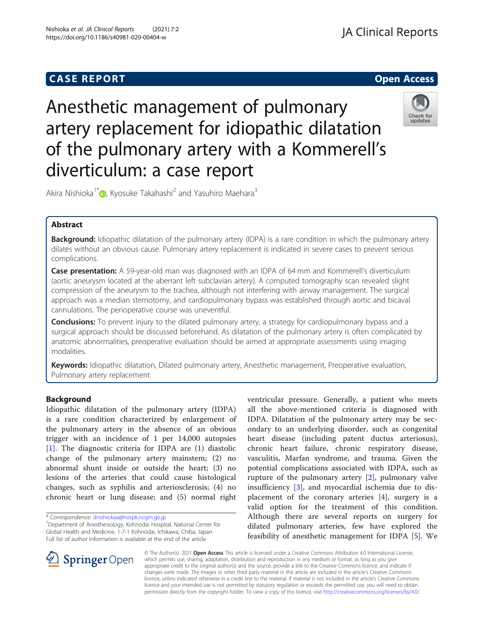## **CASE REPORT CASE REPORT CASE REPORT**



# Anesthetic management of pulmonary artery replacement for idiopathic dilatation of the pulmonary artery with a Kommerell's diverticulum: a case report



Akira Nishioka<sup>1\*</sup> **D**[,](http://orcid.org/0000-0001-5255-3043) Kyosuke Takahashi<sup>2</sup> and Yasuhiro Maehara<sup>3</sup>

## Abstract

Background: Idiopathic dilatation of the pulmonary artery (IDPA) is a rare condition in which the pulmonary artery dilates without an obvious cause. Pulmonary artery replacement is indicated in severe cases to prevent serious complications.

Case presentation: A 59-year-old man was diagnosed with an IDPA of 64 mm and Kommerell's diverticulum (aortic aneurysm located at the aberrant left subclavian artery). A computed tomography scan revealed slight compression of the aneurysm to the trachea, although not interfering with airway management. The surgical approach was a median sternotomy, and cardiopulmonary bypass was established through aortic and bicaval cannulations. The perioperative course was uneventful.

**Conclusions:** To prevent injury to the dilated pulmonary artery, a strategy for cardiopulmonary bypass and a surgical approach should be discussed beforehand. As dilatation of the pulmonary artery is often complicated by anatomic abnormalities, preoperative evaluation should be aimed at appropriate assessments using imaging modalities.

Keywords: Idiopathic dilatation, Dilated pulmonary artery, Anesthetic management, Preoperative evaluation, Pulmonary artery replacement

## Background

Idiopathic dilatation of the pulmonary artery (IDPA) is a rare condition characterized by enlargement of the pulmonary artery in the absence of an obvious trigger with an incidence of 1 per 14,000 autopsies [[1\]](#page-3-0). The diagnostic criteria for IDPA are (1) diastolic change of the pulmonary artery mainstem; (2) no abnormal shunt inside or outside the heart; (3) no lesions of the arteries that could cause histological changes, such as syphilis and arteriosclerosis; (4) no chronic heart or lung disease; and (5) normal right

\* Correspondence: [dnishiokaa@hospk.ncgm.go.jp](mailto:dnishiokaa@hospk.ncgm.go.jp) <sup>1</sup>

 $\mathscr{L}$  Springer Open

ventricular pressure. Generally, a patient who meets all the above-mentioned criteria is diagnosed with IDPA. Dilatation of the pulmonary artery may be secondary to an underlying disorder, such as congenital heart disease (including patent ductus arteriosus), chronic heart failure, chronic respiratory disease, vasculitis, Marfan syndrome, and trauma. Given the potential complications associated with IDPA, such as rupture of the pulmonary artery [[2](#page-3-0)], pulmonary valve insufficiency [[3\]](#page-3-0), and myocardial ischemia due to displacement of the coronary arteries [\[4](#page-3-0)], surgery is a valid option for the treatment of this condition. Although there are several reports on surgery for dilated pulmonary arteries, few have explored the feasibility of anesthetic management for IDPA [[5\]](#page-3-0). We

© The Author(s). 2021 Open Access This article is licensed under a Creative Commons Attribution 4.0 International License, which permits use, sharing, adaptation, distribution and reproduction in any medium or format, as long as you give appropriate credit to the original author(s) and the source, provide a link to the Creative Commons licence, and indicate if changes were made. The images or other third party material in this article are included in the article's Creative Commons licence, unless indicated otherwise in a credit line to the material. If material is not included in the article's Creative Commons licence and your intended use is not permitted by statutory regulation or exceeds the permitted use, you will need to obtain permission directly from the copyright holder. To view a copy of this licence, visit <http://creativecommons.org/licenses/by/4.0/>.

<sup>&</sup>lt;sup>1</sup> Department of Anesthesiology, Kohnodai Hospital, National Center for Global Health and Medicine, 1-7-1 Kohnodai, Ichikawa, Chiba, Japan Full list of author information is available at the end of the article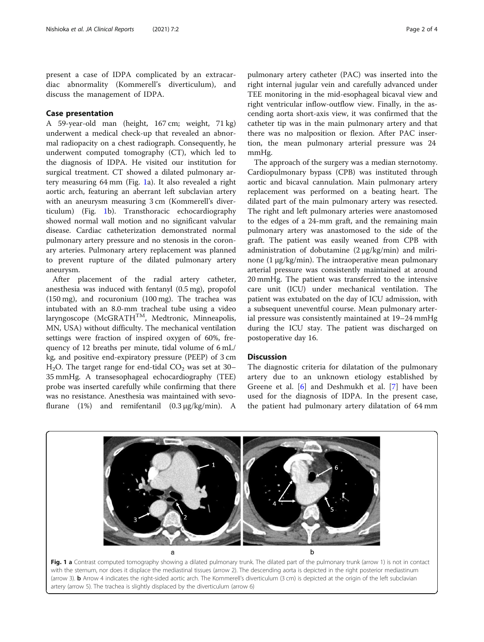present a case of IDPA complicated by an extracardiac abnormality (Kommerell's diverticulum), and discuss the management of IDPA.

## Case presentation

A 59-year-old man (height, 167 cm; weight, 71 kg) underwent a medical check-up that revealed an abnormal radiopacity on a chest radiograph. Consequently, he underwent computed tomography (CT), which led to the diagnosis of IDPA. He visited our institution for surgical treatment. CT showed a dilated pulmonary artery measuring 64 mm (Fig. 1a). It also revealed a right aortic arch, featuring an aberrant left subclavian artery with an aneurysm measuring 3 cm (Kommerell's diverticulum) (Fig. 1b). Transthoracic echocardiography showed normal wall motion and no significant valvular disease. Cardiac catheterization demonstrated normal pulmonary artery pressure and no stenosis in the coronary arteries. Pulmonary artery replacement was planned to prevent rupture of the dilated pulmonary artery aneurysm.

After placement of the radial artery catheter, anesthesia was induced with fentanyl (0.5 mg), propofol (150 mg), and rocuronium (100 mg). The trachea was intubated with an 8.0-mm tracheal tube using a video laryngoscope (McGRATH<sup>TM</sup>, Medtronic, Minneapolis, MN, USA) without difficulty. The mechanical ventilation settings were fraction of inspired oxygen of 60%, frequency of 12 breaths per minute, tidal volume of 6 mL/ kg, and positive end-expiratory pressure (PEEP) of 3 cm H<sub>2</sub>O. The target range for end-tidal  $CO_2$  was set at 30– 35 mmHg. A transesophageal echocardiography (TEE) probe was inserted carefully while confirming that there was no resistance. Anesthesia was maintained with sevoflurane (1%) and remifentanil (0.3 μg/kg/min). A

pulmonary artery catheter (PAC) was inserted into the right internal jugular vein and carefully advanced under TEE monitoring in the mid-esophageal bicaval view and right ventricular inflow-outflow view. Finally, in the ascending aorta short-axis view, it was confirmed that the catheter tip was in the main pulmonary artery and that there was no malposition or flexion. After PAC insertion, the mean pulmonary arterial pressure was 24 mmHg.

The approach of the surgery was a median sternotomy. Cardiopulmonary bypass (CPB) was instituted through aortic and bicaval cannulation. Main pulmonary artery replacement was performed on a beating heart. The dilated part of the main pulmonary artery was resected. The right and left pulmonary arteries were anastomosed to the edges of a 24-mm graft, and the remaining main pulmonary artery was anastomosed to the side of the graft. The patient was easily weaned from CPB with administration of dobutamine (2 μg/kg/min) and milrinone (1 μg/kg/min). The intraoperative mean pulmonary arterial pressure was consistently maintained at around 20 mmHg. The patient was transferred to the intensive care unit (ICU) under mechanical ventilation. The patient was extubated on the day of ICU admission, with a subsequent uneventful course. Mean pulmonary arterial pressure was consistently maintained at 19–24 mmHg during the ICU stay. The patient was discharged on postoperative day 16.

#### **Discussion**

The diagnostic criteria for dilatation of the pulmonary artery due to an unknown etiology established by Greene et al. [\[6](#page-3-0)] and Deshmukh et al. [\[7](#page-3-0)] have been used for the diagnosis of IDPA. In the present case, the patient had pulmonary artery dilatation of 64 mm



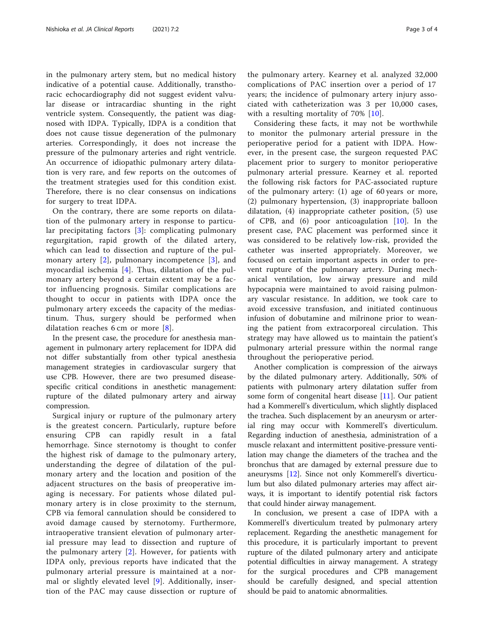in the pulmonary artery stem, but no medical history indicative of a potential cause. Additionally, transthoracic echocardiography did not suggest evident valvular disease or intracardiac shunting in the right ventricle system. Consequently, the patient was diagnosed with IDPA. Typically, IDPA is a condition that does not cause tissue degeneration of the pulmonary arteries. Correspondingly, it does not increase the pressure of the pulmonary arteries and right ventricle. An occurrence of idiopathic pulmonary artery dilatation is very rare, and few reports on the outcomes of the treatment strategies used for this condition exist. Therefore, there is no clear consensus on indications for surgery to treat IDPA.

On the contrary, there are some reports on dilatation of the pulmonary artery in response to particular precipitating factors [[3](#page-3-0)]: complicating pulmonary regurgitation, rapid growth of the dilated artery, which can lead to dissection and rupture of the pulmonary artery [\[2\]](#page-3-0), pulmonary incompetence [[3\]](#page-3-0), and myocardial ischemia [[4](#page-3-0)]. Thus, dilatation of the pulmonary artery beyond a certain extent may be a factor influencing prognosis. Similar complications are thought to occur in patients with IDPA once the pulmonary artery exceeds the capacity of the mediastinum. Thus, surgery should be performed when dilatation reaches 6 cm or more [[8](#page-3-0)].

In the present case, the procedure for anesthesia management in pulmonary artery replacement for IDPA did not differ substantially from other typical anesthesia management strategies in cardiovascular surgery that use CPB. However, there are two presumed diseasespecific critical conditions in anesthetic management: rupture of the dilated pulmonary artery and airway compression.

Surgical injury or rupture of the pulmonary artery is the greatest concern. Particularly, rupture before ensuring CPB can rapidly result in a fatal hemorrhage. Since sternotomy is thought to confer the highest risk of damage to the pulmonary artery, understanding the degree of dilatation of the pulmonary artery and the location and position of the adjacent structures on the basis of preoperative imaging is necessary. For patients whose dilated pulmonary artery is in close proximity to the sternum, CPB via femoral cannulation should be considered to avoid damage caused by sternotomy. Furthermore, intraoperative transient elevation of pulmonary arterial pressure may lead to dissection and rupture of the pulmonary artery [[2\]](#page-3-0). However, for patients with IDPA only, previous reports have indicated that the pulmonary arterial pressure is maintained at a normal or slightly elevated level [[9\]](#page-3-0). Additionally, insertion of the PAC may cause dissection or rupture of

the pulmonary artery. Kearney et al. analyzed 32,000 complications of PAC insertion over a period of 17 years; the incidence of pulmonary artery injury associated with catheterization was 3 per 10,000 cases, with a resulting mortality of 70% [[10\]](#page-3-0).

Considering these facts, it may not be worthwhile to monitor the pulmonary arterial pressure in the perioperative period for a patient with IDPA. However, in the present case, the surgeon requested PAC placement prior to surgery to monitor perioperative pulmonary arterial pressure. Kearney et al. reported the following risk factors for PAC-associated rupture of the pulmonary artery: (1) age of 60 years or more, (2) pulmonary hypertension, (3) inappropriate balloon dilatation, (4) inappropriate catheter position, (5) use of CPB, and (6) poor anticoagulation [[10\]](#page-3-0). In the present case, PAC placement was performed since it was considered to be relatively low-risk, provided the catheter was inserted appropriately. Moreover, we focused on certain important aspects in order to prevent rupture of the pulmonary artery. During mechanical ventilation, low airway pressure and mild hypocapnia were maintained to avoid raising pulmonary vascular resistance. In addition, we took care to avoid excessive transfusion, and initiated continuous infusion of dobutamine and milrinone prior to weaning the patient from extracorporeal circulation. This strategy may have allowed us to maintain the patient's pulmonary arterial pressure within the normal range throughout the perioperative period.

Another complication is compression of the airways by the dilated pulmonary artery. Additionally, 50% of patients with pulmonary artery dilatation suffer from some form of congenital heart disease [\[11\]](#page-3-0). Our patient had a Kommerell's diverticulum, which slightly displaced the trachea. Such displacement by an aneurysm or arterial ring may occur with Kommerell's diverticulum. Regarding induction of anesthesia, administration of a muscle relaxant and intermittent positive-pressure ventilation may change the diameters of the trachea and the bronchus that are damaged by external pressure due to aneurysms [\[12\]](#page-3-0). Since not only Kommerell's diverticulum but also dilated pulmonary arteries may affect airways, it is important to identify potential risk factors that could hinder airway management.

In conclusion, we present a case of IDPA with a Kommerell's diverticulum treated by pulmonary artery replacement. Regarding the anesthetic management for this procedure, it is particularly important to prevent rupture of the dilated pulmonary artery and anticipate potential difficulties in airway management. A strategy for the surgical procedures and CPB management should be carefully designed, and special attention should be paid to anatomic abnormalities.